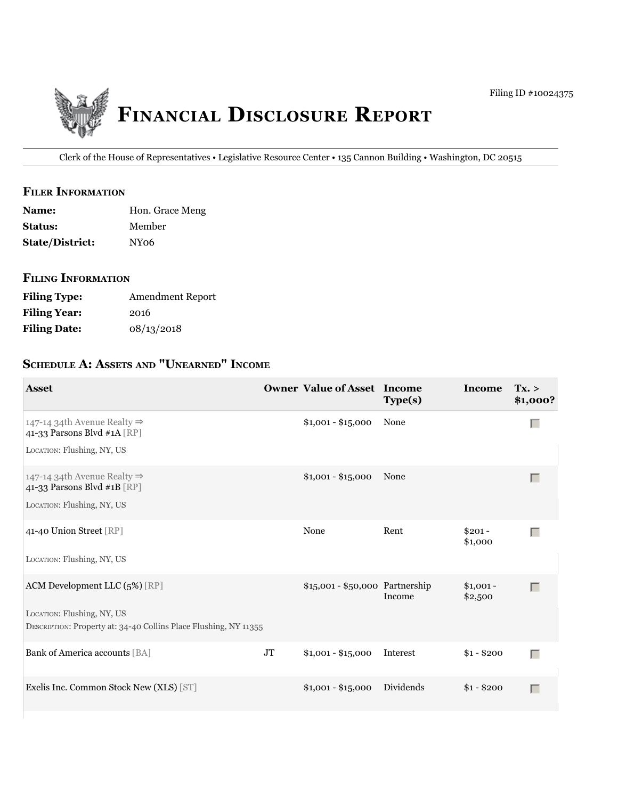

Clerk of the House of Representatives • Legislative Resource Center • 135 Cannon Building • Washington, DC 20515

## **filer information**

| <b>Name:</b>           | Hon. Grace Meng  |
|------------------------|------------------|
| <b>Status:</b>         | Member           |
| <b>State/District:</b> | NY <sub>06</sub> |

## **filing information**

| <b>Filing Type:</b> | <b>Amendment Report</b> |
|---------------------|-------------------------|
| <b>Filing Year:</b> | 2016                    |
| <b>Filing Date:</b> | 08/13/2018              |

# **ScheDule a: aSSetS anD "unearneD" income**

| <b>Asset</b>                                                                                                                    |    | <b>Owner Value of Asset Income</b> | Type(s)   | Income                | Tx. ><br>\$1,000? |
|---------------------------------------------------------------------------------------------------------------------------------|----|------------------------------------|-----------|-----------------------|-------------------|
| 147-14 34th Avenue Realty $\Rightarrow$<br>41-33 Parsons Blvd #1A [RP]<br>LOCATION: Flushing, NY, US                            |    | $$1,001 - $15,000$                 | None      |                       | $\Box$            |
| 147-14 34th Avenue Realty $\Rightarrow$<br>41-33 Parsons Blvd #1B [RP]<br>LOCATION: Flushing, NY, US                            |    | $$1,001 - $15,000$                 | None      |                       | Г                 |
| 41-40 Union Street [RP]<br>LOCATION: Flushing, NY, US                                                                           |    | None                               | Rent      | $$201 -$<br>\$1,000   | $\Box$            |
| ACM Development LLC (5%) [RP]<br>LOCATION: Flushing, NY, US<br>DESCRIPTION: Property at: 34-40 Collins Place Flushing, NY 11355 |    | \$15,001 - \$50,000 Partnership    | Income    | $$1,001 -$<br>\$2,500 | Г                 |
| Bank of America accounts [BA]                                                                                                   | JT | $$1,001 - $15,000$                 | Interest  | $$1 - $200$           | Г                 |
| Exelis Inc. Common Stock New (XLS) [ST]                                                                                         |    | $$1,001 - $15,000$                 | Dividends | $$1 - $200$           | Г                 |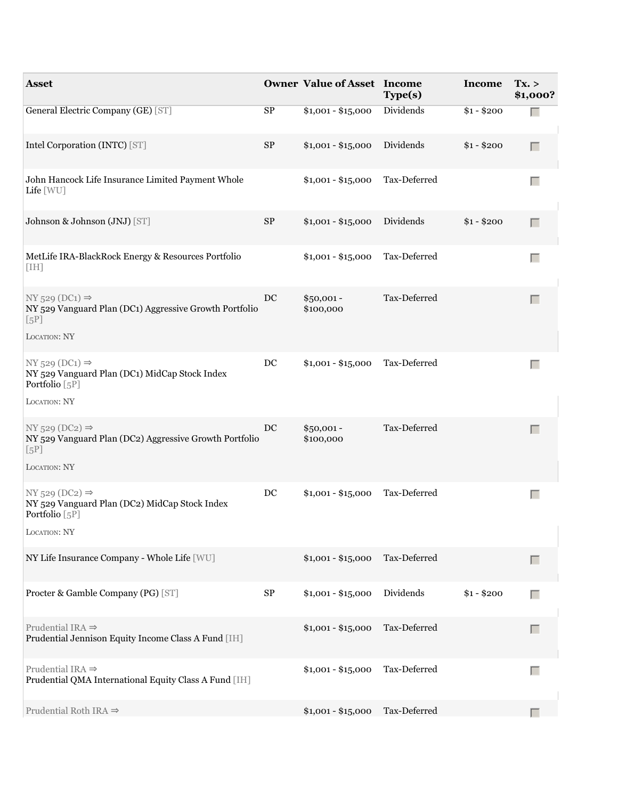| <b>Asset</b>                                                                                                   |                     | <b>Owner Value of Asset Income</b> | Type(s)      | Income      | Tx. ><br>\$1,000? |
|----------------------------------------------------------------------------------------------------------------|---------------------|------------------------------------|--------------|-------------|-------------------|
| General Electric Company (GE) [ST]                                                                             | SP                  | $$1,001 - $15,000$                 | Dividends    | $$1 - $200$ |                   |
| Intel Corporation (INTC) [ST]                                                                                  | $\rm SP$            | $$1,001 - $15,000$                 | Dividends    | $$1 - $200$ | Г                 |
| John Hancock Life Insurance Limited Payment Whole<br>Life [WU]                                                 |                     | $$1,001 - $15,000$                 | Tax-Deferred |             |                   |
| Johnson & Johnson (JNJ) [ST]                                                                                   | $\rm SP$            | $$1,001 - $15,000$                 | Dividends    | $$1 - $200$ | П                 |
| MetLife IRA-BlackRock Energy & Resources Portfolio<br>[IH]                                                     |                     | $$1,001 - $15,000$                 | Tax-Deferred |             | $\Box$            |
| $NY$ 529 (DC1) $\Rightarrow$<br>NY 529 Vanguard Plan (DC1) Aggressive Growth Portfolio<br>[5P]<br>LOCATION: NY | $_{\rm DC}$         | $$50,001 -$<br>\$100,000           | Tax-Deferred |             | $\Box$            |
| $NY$ 529 (DC1) $\Rightarrow$<br>NY 529 Vanguard Plan (DC1) MidCap Stock Index<br>Portfolio [5P]                | DC                  | $$1,001 - $15,000$                 | Tax-Deferred |             | $\Box$            |
| LOCATION: NY                                                                                                   |                     |                                    |              |             |                   |
| $NY$ 529 (DC2) $\Rightarrow$<br>NY 529 Vanguard Plan (DC2) Aggressive Growth Portfolio<br>[5P]<br>LOCATION: NY | $\operatorname{DC}$ | $$50,001 -$<br>\$100,000           | Tax-Deferred |             | $\Box$            |
|                                                                                                                |                     |                                    |              |             |                   |
| $NY$ 529 (DC2) $\Rightarrow$<br>NY 529 Vanguard Plan (DC2) MidCap Stock Index<br>Portfolio [5P]                | $_{\rm DC}$         | $$1,001 - $15,000$                 | Tax-Deferred |             | Г                 |
| LOCATION: NY                                                                                                   |                     |                                    |              |             |                   |
| NY Life Insurance Company - Whole Life [WU]                                                                    |                     | $$1,001 - $15,000$                 | Tax-Deferred |             | Г                 |
| Procter & Gamble Company (PG) [ST]                                                                             | ${\rm SP}$          | $$1,001 - $15,000$                 | Dividends    | $$1 - $200$ | Г                 |
| Prudential IRA $\Rightarrow$<br>Prudential Jennison Equity Income Class A Fund [IH]                            |                     | $$1,001 - $15,000$                 | Tax-Deferred |             | Г                 |
| Prudential IRA $\Rightarrow$<br>Prudential QMA International Equity Class A Fund [IH]                          |                     | $$1,001 - $15,000$                 | Tax-Deferred |             | $\Box$            |
| Prudential Roth IRA $\Rightarrow$                                                                              |                     | $$1,001 - $15,000$                 | Tax-Deferred |             |                   |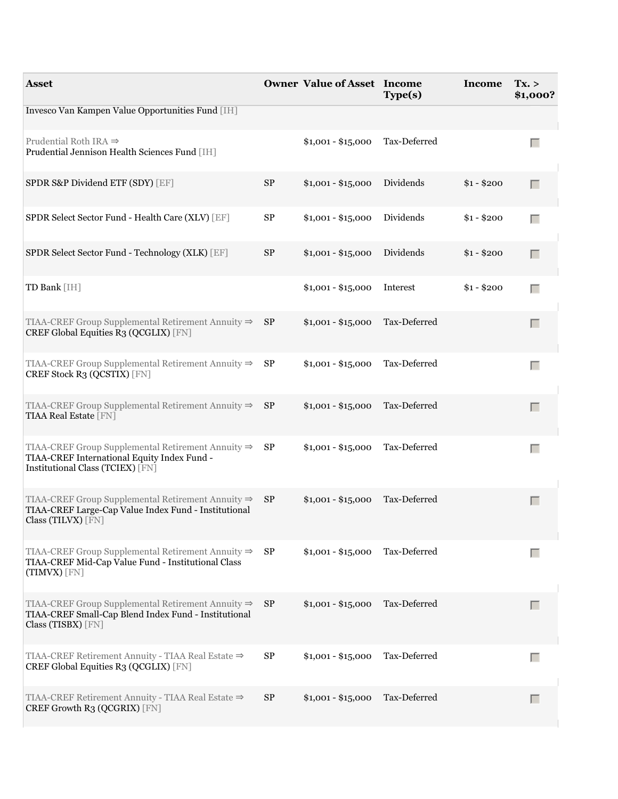| <b>Asset</b>                                                                                                                                        |    | <b>Owner Value of Asset Income</b> | Type(s)      | Income Tx. > | \$1,000? |
|-----------------------------------------------------------------------------------------------------------------------------------------------------|----|------------------------------------|--------------|--------------|----------|
| Invesco Van Kampen Value Opportunities Fund [IH]                                                                                                    |    |                                    |              |              |          |
| Prudential Roth IRA $\Rightarrow$<br>Prudential Jennison Health Sciences Fund [IH]                                                                  |    | $$1,001 - $15,000$                 | Tax-Deferred |              | П        |
| SPDR S&P Dividend ETF (SDY) [EF]                                                                                                                    | SP | $$1,001 - $15,000$                 | Dividends    | $$1 - $200$  | Г        |
| SPDR Select Sector Fund - Health Care (XLV) [EF]                                                                                                    | SP | $$1,001 - $15,000$                 | Dividends    | $$1 - $200$  | Г        |
| SPDR Select Sector Fund - Technology (XLK) [EF]                                                                                                     | SP | $$1,001 - $15,000$                 | Dividends    | $$1 - $200$  | Г        |
| TD Bank [IH]                                                                                                                                        |    | $$1,001 - $15,000$                 | Interest     | $$1 - $200$  | п        |
| TIAA-CREF Group Supplemental Retirement Annuity $\Rightarrow$ SP<br>CREF Global Equities R3 (QCGLIX) [FN]                                           |    | $$1,001 - $15,000$                 | Tax-Deferred |              | Г        |
| TIAA-CREF Group Supplemental Retirement Annuity $\Rightarrow$ SP<br>CREF Stock R3 (QCSTIX) [FN]                                                     |    | $$1,001 - $15,000$                 | Tax-Deferred |              | $\Box$   |
| TIAA-CREF Group Supplemental Retirement Annuity $\Rightarrow$ SP<br><b>TIAA Real Estate [FN]</b>                                                    |    | $$1,001 - $15,000$                 | Tax-Deferred |              | Г        |
| TIAA-CREF Group Supplemental Retirement Annuity $\Rightarrow$ SP<br>TIAA-CREF International Equity Index Fund -<br>Institutional Class (TCIEX) [FN] |    | $$1,001 - $15,000$                 | Tax-Deferred |              | $\Box$   |
| TIAA-CREF Group Supplemental Retirement Annuity $\Rightarrow$ SP<br>TIAA-CREF Large-Cap Value Index Fund - Institutional<br>Class (TILVX) [FN]      |    | $$1,001 - $15,000$                 | Tax-Deferred |              | Г        |
| TIAA-CREF Group Supplemental Retirement Annuity $\Rightarrow$<br>TIAA-CREF Mid-Cap Value Fund - Institutional Class<br>(TIMVX) [FN]                 | SP | $$1,001 - $15,000$                 | Tax-Deferred |              | Г        |
| TIAA-CREF Group Supplemental Retirement Annuity $\Rightarrow$ SP<br>TIAA-CREF Small-Cap Blend Index Fund - Institutional<br>Class (TISBX) [FN]      |    | $$1,001 - $15,000$                 | Tax-Deferred |              | Г        |
| TIAA-CREF Retirement Annuity - TIAA Real Estate ⇒<br>CREF Global Equities R3 (QCGLIX) [FN]                                                          | SP | $$1,001 - $15,000$                 | Tax-Deferred |              | Г        |
| TIAA-CREF Retirement Annuity - TIAA Real Estate ⇒<br>CREF Growth R3 (QCGRIX) [FN]                                                                   | SP | $$1,001 - $15,000$                 | Tax-Deferred |              | $\Box$   |
|                                                                                                                                                     |    |                                    |              |              |          |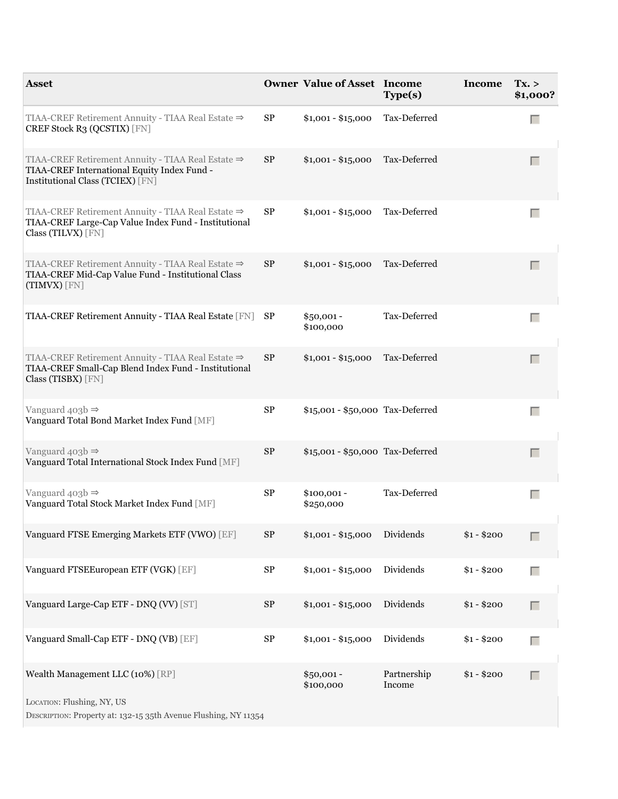| <b>Asset</b>                                                                                                                         |            | <b>Owner Value of Asset Income</b> | Type(s)               | Income Tx. > | \$1,000? |
|--------------------------------------------------------------------------------------------------------------------------------------|------------|------------------------------------|-----------------------|--------------|----------|
| TIAA-CREF Retirement Annuity - TIAA Real Estate ⇒<br>CREF Stock R3 (QCSTIX) [FN]                                                     | SP         | $$1,001 - $15,000$                 | Tax-Deferred          |              | $\Box$   |
| TIAA-CREF Retirement Annuity - TIAA Real Estate ⇒<br>TIAA-CREF International Equity Index Fund -<br>Institutional Class (TCIEX) [FN] | SP         | $$1,001 - $15,000$                 | Tax-Deferred          |              | Г        |
| TIAA-CREF Retirement Annuity - TIAA Real Estate ⇒<br>TIAA-CREF Large-Cap Value Index Fund - Institutional<br>Class (TILVX) [FN]      | SP         | $$1,001 - $15,000$                 | Tax-Deferred          |              | Г        |
| TIAA-CREF Retirement Annuity - TIAA Real Estate ⇒<br>TIAA-CREF Mid-Cap Value Fund - Institutional Class<br>(TIMVX) [FN]              | SP         | $$1,001 - $15,000$                 | Tax-Deferred          |              | Г        |
| TIAA-CREF Retirement Annuity - TIAA Real Estate [FN]                                                                                 | SP         | $$50,001 -$<br>\$100,000           | Tax-Deferred          |              | $\Box$   |
| TIAA-CREF Retirement Annuity - TIAA Real Estate ⇒<br>TIAA-CREF Small-Cap Blend Index Fund - Institutional<br>Class (TISBX) [FN]      | SP         | $$1,001 - $15,000$                 | Tax-Deferred          |              | Г        |
| Vanguard $403b \Rightarrow$<br>Vanguard Total Bond Market Index Fund [MF]                                                            | $\rm SP$   | \$15,001 - \$50,000 Tax-Deferred   |                       |              | $\Box$   |
| Vanguard $403b \Rightarrow$<br>Vanguard Total International Stock Index Fund [MF]                                                    | ${\rm SP}$ | \$15,001 - \$50,000 Tax-Deferred   |                       |              | Г        |
| Vanguard $403b \Rightarrow$<br>Vanguard Total Stock Market Index Fund [MF]                                                           | SP         | $$100,001 -$<br>\$250,000          | Tax-Deferred          |              | $\Box$   |
| Vanguard FTSE Emerging Markets ETF (VWO) [EF]                                                                                        | $\rm SP$   | $$1,001 - $15,000$                 | Dividends             | $$1 - $200$  | Г        |
| Vanguard FTSEEuropean ETF (VGK) [EF]                                                                                                 | ${\rm SP}$ | $$1,001 - $15,000$                 | Dividends             | $$1 - $200$  | $\Box$   |
| Vanguard Large-Cap ETF - DNQ (VV) [ST]                                                                                               | ${\rm SP}$ | $$1,001 - $15,000$                 | Dividends             | $$1 - $200$  | $\Box$   |
| Vanguard Small-Cap ETF - DNQ (VB) [EF]                                                                                               | $\rm SP$   | $$1,001 - $15,000$                 | Dividends             | $$1 - $200$  | $\Box$   |
| Wealth Management LLC (10%) [RP]                                                                                                     |            | $$50,001 -$<br>\$100,000           | Partnership<br>Income | $$1 - $200$  | $\Box$   |
| LOCATION: Flushing, NY, US<br>DESCRIPTION: Property at: 132-15 35th Avenue Flushing, NY 11354                                        |            |                                    |                       |              |          |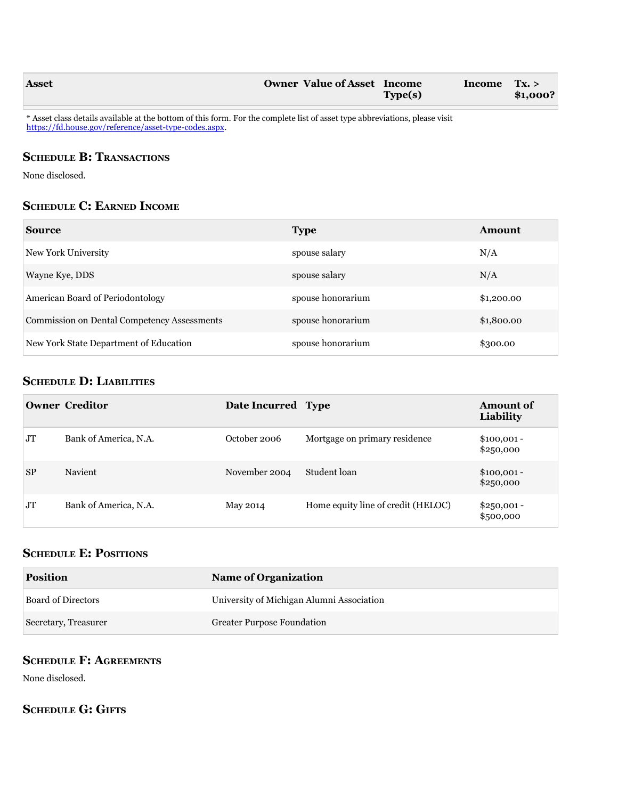| <b>Asset</b> | <b>Owner Value of Asset</b> | Income         | Income | Tx. >    |
|--------------|-----------------------------|----------------|--------|----------|
|              |                             | <b>Type(s)</b> |        | \$1,000? |

\* Asset class details available at the bottom of this form. For the complete list of asset type abbreviations, please visit [https://fd.house.gov/reference/asset-type-codes.aspx.](https://fd.house.gov/reference/asset-type-codes.aspx)

## **SCHEDULE B: TRANSACTIONS**

None disclosed.

## **ScheDule c: earneD income**

| <b>Source</b>                                      | <b>Type</b>       | <b>Amount</b> |
|----------------------------------------------------|-------------------|---------------|
| New York University                                | spouse salary     | N/A           |
| Wayne Kye, DDS                                     | spouse salary     | N/A           |
| American Board of Periodontology                   | spouse honorarium | \$1,200.00    |
| <b>Commission on Dental Competency Assessments</b> | spouse honorarium | \$1,800.00    |
| New York State Department of Education             | spouse honorarium | \$300.00      |

## **ScheDule D: liaBilitieS**

|           | <b>Owner Creditor</b> | Date Incurred Type |                                    | <b>Amount of</b><br>Liability |
|-----------|-----------------------|--------------------|------------------------------------|-------------------------------|
| <b>JT</b> | Bank of America, N.A. | October 2006       | Mortgage on primary residence      | $$100,001 -$<br>\$250,000     |
| <b>SP</b> | Navient               | November 2004      | Student loan                       | $$100,001 -$<br>\$250,000     |
| <b>JT</b> | Bank of America, N.A. | May 2014           | Home equity line of credit (HELOC) | $$250,001 -$<br>\$500,000     |

## **ScheDule e: PoSitionS**

| <b>Position</b>           | <b>Name of Organization</b>               |
|---------------------------|-------------------------------------------|
| <b>Board of Directors</b> | University of Michigan Alumni Association |
| Secretary, Treasurer      | <b>Greater Purpose Foundation</b>         |

## **ScheDule f: agreementS**

None disclosed.

## **SCHEDULE G: GIFTS**